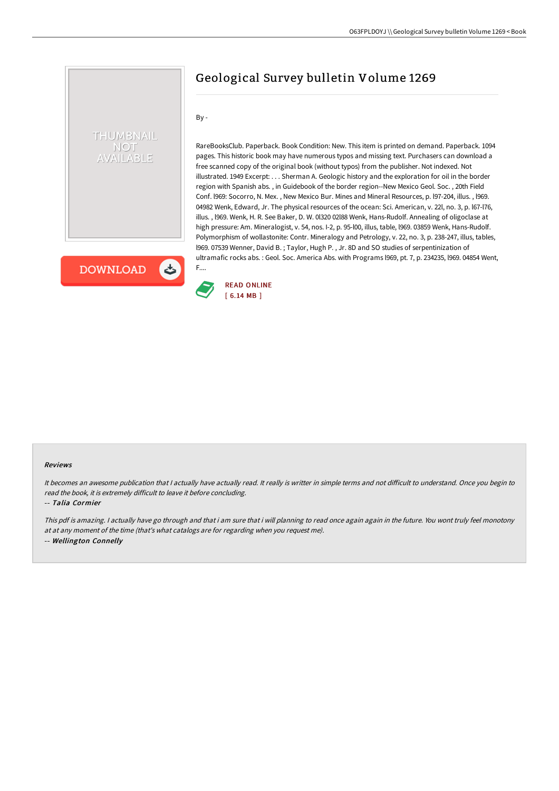By -

F....

RareBooksClub. Paperback. Book Condition: New. This item is printed on demand. Paperback. 1094 pages. This historic book may have numerous typos and missing text. Purchasers can download a free scanned copy of the original book (without typos) from the publisher. Not indexed. Not illustrated. 1949 Excerpt: . . . Sherman A. Geologic history and the exploration for oil in the border region with Spanish abs. , in Guidebook of the border region--New Mexico Geol. Soc. , 20th Field Conf. l969: Socorro, N. Mex. , New Mexico Bur. Mines and Mineral Resources, p. l97-204, illus. , l969. 04982 Wenk, Edward, Jr. The physical resources of the ocean: Sci. American, v. 22l, no. 3, p. l67-l76, illus. , l969. Wenk, H. R. See Baker, D. W. 0l320 02l88 Wenk, Hans-Rudolf. Annealing of oligoclase at high pressure: Am. Mineralogist, v. 54, nos. I-2, p. 95-l00, illus, table, l969. 03859 Wenk, Hans-Rudolf. Polymorphism of wollastonite: Contr. Mineralogy and Petrology, v. 22, no. 3, p. 238-247, illus, tables, l969. 07539 Wenner, David B. ; Taylor, Hugh P. , Jr. 8D and SO studies of serpentinization of ultramafic rocks abs. : Geol. Soc. America Abs. with Programs l969, pt. 7, p. 234235, l969. 04854 Went,

Geological Survey bulletin Volume 1269

 $\mathbf{c}$ **DOWNLOAD** 

THUMBNAIL **NOT AILABLE** 



#### Reviews

It becomes an awesome publication that I actually have actually read. It really is writter in simple terms and not difficult to understand. Once you begin to read the book, it is extremely difficult to leave it before concluding.

-- Talia Cormier

This pdf is amazing. <sup>I</sup> actually have go through and that i am sure that i will planning to read once again again in the future. You wont truly feel monotony at at any moment of the time (that's what catalogs are for regarding when you request me). -- Wellington Connelly